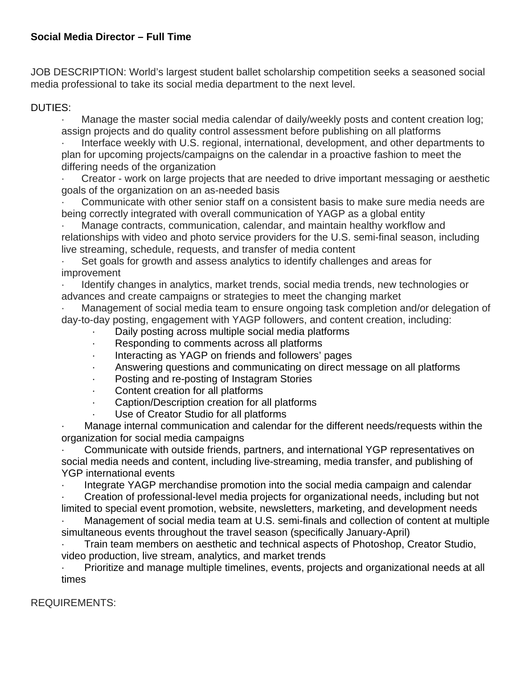# **Social Media Director – Full Time**

JOB DESCRIPTION: World's largest student ballet scholarship competition seeks a seasoned social media professional to take its social media department to the next level.

## DUTIES:

· Manage the master social media calendar of daily/weekly posts and content creation log; assign projects and do quality control assessment before publishing on all platforms

Interface weekly with U.S. regional, international, development, and other departments to plan for upcoming projects/campaigns on the calendar in a proactive fashion to meet the differing needs of the organization

Creator - work on large projects that are needed to drive important messaging or aesthetic goals of the organization on an as-needed basis

Communicate with other senior staff on a consistent basis to make sure media needs are being correctly integrated with overall communication of YAGP as a global entity

Manage contracts, communication, calendar, and maintain healthy workflow and relationships with video and photo service providers for the U.S. semi-final season, including live streaming, schedule, requests, and transfer of media content

Set goals for growth and assess analytics to identify challenges and areas for improvement

· Identify changes in analytics, market trends, social media trends, new technologies or advances and create campaigns or strategies to meet the changing market

· Management of social media team to ensure ongoing task completion and/or delegation of day-to-day posting, engagement with YAGP followers, and content creation, including:

- Daily posting across multiple social media platforms
- · Responding to comments across all platforms
- · Interacting as YAGP on friends and followers' pages
- · Answering questions and communicating on direct message on all platforms
- Posting and re-posting of Instagram Stories
- · Content creation for all platforms
- · Caption/Description creation for all platforms
- Use of Creator Studio for all platforms

Manage internal communication and calendar for the different needs/requests within the organization for social media campaigns

· Communicate with outside friends, partners, and international YGP representatives on social media needs and content, including live-streaming, media transfer, and publishing of YGP international events

Integrate YAGP merchandise promotion into the social media campaign and calendar

· Creation of professional-level media projects for organizational needs, including but not limited to special event promotion, website, newsletters, marketing, and development needs

· Management of social media team at U.S. semi-finals and collection of content at multiple simultaneous events throughout the travel season (specifically January-April)

· Train team members on aesthetic and technical aspects of Photoshop, Creator Studio, video production, live stream, analytics, and market trends

· Prioritize and manage multiple timelines, events, projects and organizational needs at all times

## REQUIREMENTS: